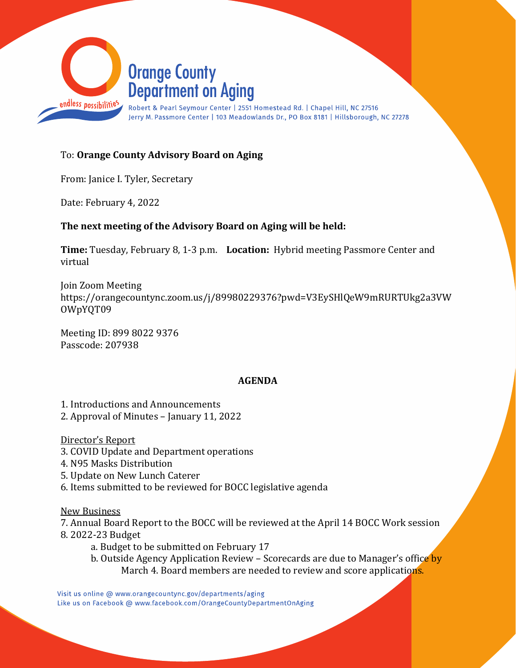

# To: **Orange County Advisory Board on Aging**

From: Janice I. Tyler, Secretary

Date: February 4, 2022

### **The next meeting of the Advisory Board on Aging will be held:**

**Time:** Tuesday, February 8, 1-3 p.m. **Location:** Hybrid meeting Passmore Center and virtual

Join Zoom Meeting https://orangecountync.zoom.us/j/89980229376?pwd=V3EySHlQeW9mRURTUkg2a3VW OWpYQT09

Meeting ID: 899 8022 9376 Passcode: 207938

### **AGENDA**

1. Introductions and Announcements

2. Approval of Minutes – January 11, 2022

Director's Report

- 3. COVID Update and Department operations
- 4. N95 Masks Distribution
- 5. Update on New Lunch Caterer
- 6. Items submitted to be reviewed for BOCC legislative agenda

New Business

7. Annual Board Report to the BOCC will be reviewed at the April 14 BOCC Work session 8. 2022-23 Budget

- a. Budget to be submitted on February 17
- b. Outside Agency Application Review Scorecards are due to Manager's office by March 4. Board members are needed to review and score applications.

Visit us online @ www.orangecountync.gov/departments/aging Like us on Facebook @ www.facebook.com/OrangeCountyDepartmentOnAging